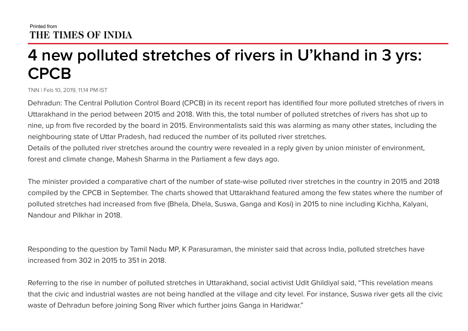## **4 new polluted stretches of rivers in U'khand in 3 yrs: CPCB**

TNN | Feb 10, 2019, 11.14 PM IST

Dehradun: The Central Pollution Control Board (CPCB) in its recent report has identified four more polluted stretches of rivers in Uttarakhand in the period between 2015 and 2018. With this, the total number of polluted stretches of rivers has shot up to nine, up from five recorded by the board in 2015. Environmentalists said this was alarming as many other states, including the neighbouring state of Uttar Pradesh, had reduced the number of its polluted river stretches. Details of the polluted river stretches around the country were revealed in a reply given by union minister of environment, forest and climate change, Mahesh Sharma in the Parliament a few days ago.

The minister provided a comparative chart of the number of state-wise polluted river stretches in the country in 2015 and 2018 compiled by the CPCB in September. The charts showed that Uttarakhand featured among the few states where the number of polluted stretches had increased from five (Bhela, Dhela, Suswa, Ganga and Kosi) in 2015 to nine including Kichha, Kalyani, Nandour and Pilkhar in 2018.

Responding to the question by Tamil Nadu MP, K Parasuraman, the minister said that across India, polluted stretches have increased from 302 in 2015 to 351 in 2018.

Referring to the rise in number of polluted stretches in Uttarakhand, social activist Udit Ghildiyal said, "This revelation means that the civic and industrial wastes are not being handled at the village and city level. For instance, Suswa river gets all the civic waste of Dehradun before joining Song River which further joins Ganga in Haridwar."